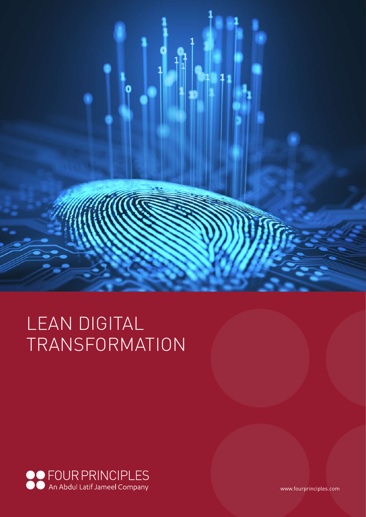

# LEAN DIGITAL TRANSFORMATION



www.fourprinciples.com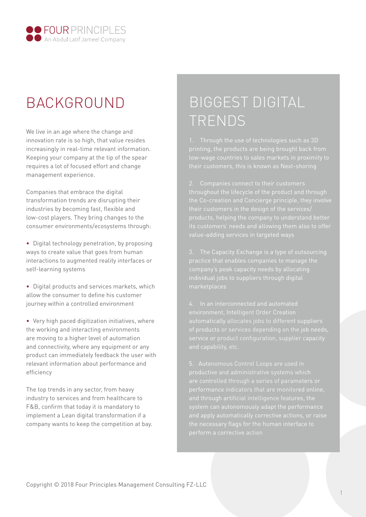

### BACKGROUND

We live in an age where the change and innovation rate is so high, that value resides increasingly in real-time relevant information. Keeping your company at the tip of the spear requires a lot of focused effort and change management experience.

Companies that embrace the digital transformation trends are disrupting their industries by becoming fast, flexible and low-cost players. They bring changes to the consumer environments/ecosystems through:

• Digital technology penetration, by proposing ways to create value that goes from human interactions to augmented reality interfaces or self-learning systems

• Digital products and services markets, which allow the consumer to define his customer journey within a controlled environment

• Very high paced digitization initiatives, where the working and interacting environments are moving to a higher level of automation and connectivity, where any equipment or any product can immediately feedback the user with relevant information about performance and efficiency

The top trends in any sector, from heavy industry to services and from healthcare to F&B, confirm that today it is mandatory to implement a Lean digital transformation if a company wants to keep the competition at bay.

### BIGGEST DIGITAL TRENDS

throughout the lifecycle of the product and through

environment, Intelligent Order Creation

5. Autonomous Control Loops are used in are controlled through a series of parameters or and apply automatically corrective actions, or raise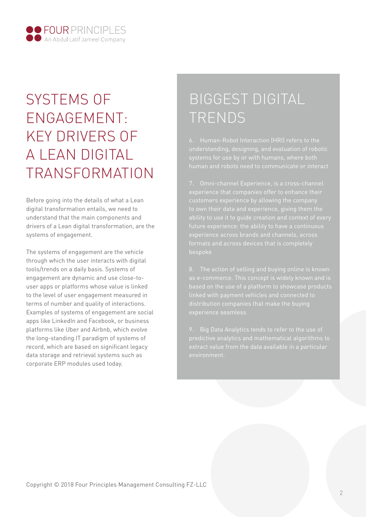

## SYSTEMS OF ENGAGEMENT: KEY DRIVERS OF A LEAN DIGITAL TRANSFORMATION

Before going into the details of what a Lean digital transformation entails, we need to understand that the main components and drivers of a Lean digital transformation, are the systems of engagement.

The systems of engagement are the vehicle through which the user interacts with digital tools/trends on a daily basis. Systems of engagement are dynamic and use close-touser apps or platforms whose value is linked to the level of user engagement measured in terms of number and quality of interactions. Examples of systems of engagement are social apps like LinkedIn and Facebook, or business platforms like Uber and Airbnb, which evolve the long-standing IT paradigm of systems of record, which are based on significant legacy data storage and retrieval systems such as corporate ERP modules used today.

## BIGGEST DIGITAL TRENDS

6. Human-Robot Interaction (HRI) refers to the

experience that companies offer to enhance their

linked with payment vehicles and connected to

9. Big Data Analytics tends to refer to the use of extract value from the data available in a particular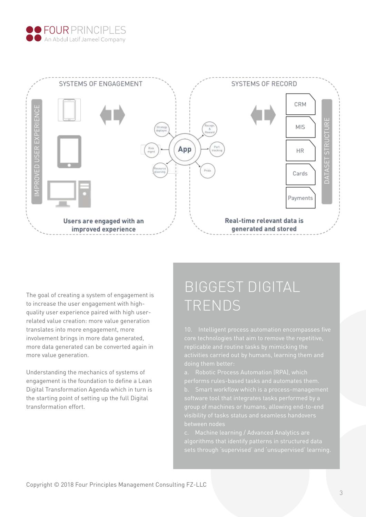



The goal of creating a system of engagement is to increase the user engagement with highquality user experience paired with high userrelated value creation: more value generation translates into more engagement, more involvement brings in more data generated, more data generated can be converted again in more value generation.

Understanding the mechanics of systems of engagement is the foundation to define a Lean Digital Transformation Agenda which in turn is the starting point of setting up the full Digital transformation effort.

## BIGGEST DIGITAL TRENDS

10. Intelligent process automation encompasses five replicable and routine tasks by mimicking the doing them better:

performs rules-based tasks and automates them. software tool that integrates tasks performed by a between nodes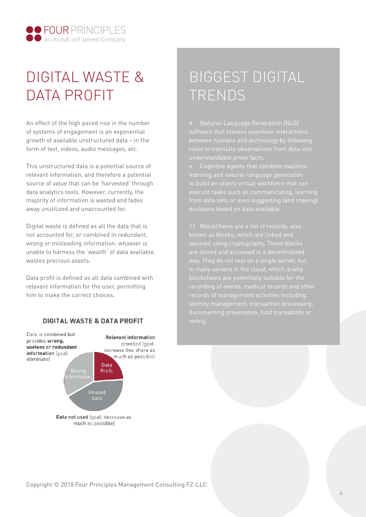

## DIGITAL WASTE & DATA PROFIT

An effect of the high paced rise in the number of systems of engagement is an exponential growth of available unstructured data – in the form of text, videos, audio messages, etc.

This unstructured data is a potential source of relevant information, and therefore a potential source of value that can be 'harvested' through data analytics tools. However, currently, the majority of information is wasted and fades away unutilized and unaccounted for.

Digital waste is defined as all the data that is not accounted for, or combined in redundant, wrong or misleading information: whoever is unable to harness the 'wealth' of data available, wastes precious assets.

Data profit is defined as all data combined with relevant information for the user, permitting him to make the correct choices.

### DIGITAL WASTE & DATA PROFIT



## BIGGEST DIGITAL TRENDS

software that creates seamless interactions

execute tasks such as communicating, learning from data sets or even suggesting (and making)

11. Blockchains are a list of records, also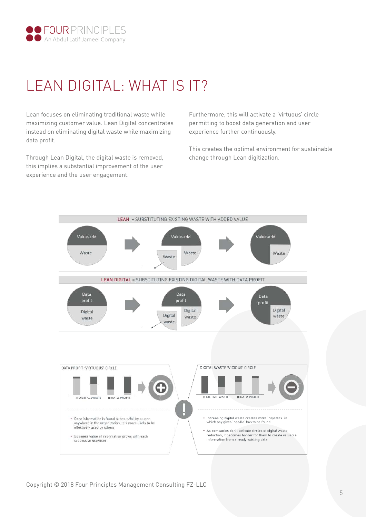

### LEAN DIGITAL: WHAT IS IT?

Lean focuses on eliminating traditional waste while maximizing customer value. Lean Digital concentrates instead on eliminating digital waste while maximizing data profit.

Through Lean Digital, the digital waste is removed, this implies a substantial improvement of the user experience and the user engagement.

Furthermore, this will activate a 'virtuous' circle permitting to boost data generation and user experience further continuously.

This creates the optimal environment for sustainable change through Lean digitization.

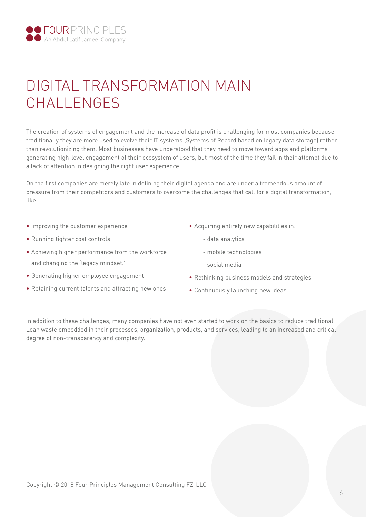

### DIGITAL TRANSFORMATION MAIN CHALLENGES

The creation of systems of engagement and the increase of data profit is challenging for most companies because traditionally they are more used to evolve their IT systems (Systems of Record based on legacy data storage) rather than revolutionizing them. Most businesses have understood that they need to move toward apps and platforms generating high-level engagement of their ecosystem of users, but most of the time they fail in their attempt due to a lack of attention in designing the right user experience.

On the first companies are merely late in defining their digital agenda and are under a tremendous amount of pressure from their competitors and customers to overcome the challenges that call for a digital transformation, like:

- Improving the customer experience
- Running tighter cost controls
- Achieving higher performance from the workforce and changing the 'legacy mindset.'
- Generating higher employee engagement
- Retaining current talents and attracting new ones
- Acquiring entirely new capabilities in:
	- data analytics
	- mobile technologies
	- social media
- Rethinking business models and strategies
- Continuously launching new ideas

In addition to these challenges, many companies have not even started to work on the basics to reduce traditional Lean waste embedded in their processes, organization, products, and services, leading to an increased and critical degree of non-transparency and complexity.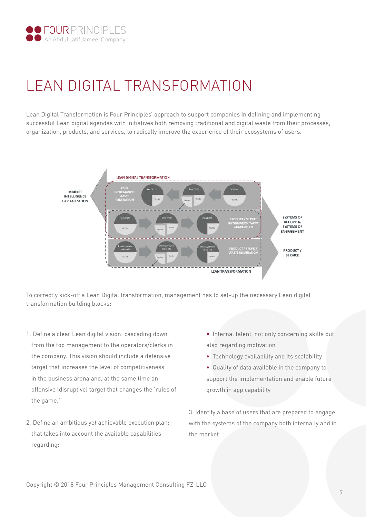

## LEAN DIGITAL TRANSFORMATION

Lean Digital Transformation is Four Principles' approach to support companies in defining and implementing successful Lean digital agendas with initiatives both removing traditional and digital waste from their processes, organization, products, and services, to radically improve the experience of their ecosystems of users.



To correctly kick-off a Lean Digital transformation, management has to set-up the necessary Lean digital transformation building blocks:

- 1. Define a clear Lean digital vision: cascading down from the top management to the operators/clerks in the company. This vision should include a defensive target that increases the level of competitiveness in the business arena and, at the same time an offensive (disruptive) target that changes the 'rules of the game.'
- 2. Define an ambitious yet achievable execution plan: that takes into account the available capabilities regarding:
- Internal talent, not only concerning skills but also regarding motivation
- Technology availability and its scalability
- Quality of data available in the company to support the implementation and enable future growth in app capability

3. Identify a base of users that are prepared to engage with the systems of the company both internally and in the market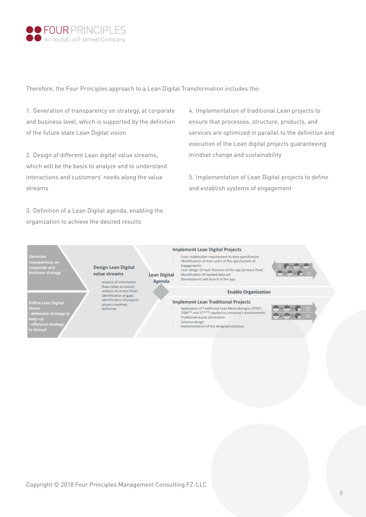

Therefore, the Four Principles approach to a Lean Digital Transformation includes the:

1. Generation of transparency on strategy, at corporate and business level, which is supported by the definition of the future state Lean Digital vision

2. Design of different Lean digital value streams, which will be the basis to analyze and to understand interactions and customers' needs along the value streams

3. Definition of a Lean Digital agenda, enabling the organization to achieve the desired results

4. Implementation of traditional Lean projects to ensure that processes, structure, products, and services are optimized in parallel to the definition and execution of the Lean digital projects guaranteeing mindset change and sustainability

5. Implementation of Lean Digital projects to define and establish systems of engagement

ransparency on corporate and<br>business strategy

Design Lean Digital value streams

Define Lean Digital<br>Vision<br>- defensive strategy t<br>keep up<br>- offensive strategy<br>to disrupt

Lean Digital

Agenda

analysis of information flows (data structure) analysis of service flows identification of gaps<br>identification of projects project roadmap<br>definition

#### **Implement Lean Digital Projects**

From stakeholder requirement to data specification Identification of main users of the app (System of Engagement) Lean design of main features of the app (process flow) Identification of needed data-set Development and launch of the app

#### **Enable Organization**

### **Implement Lean Traditional Projects**

- Application of Traditional Lean Methodologies (TPM\*,<br>TQM\*\* and JIT\*\*\*) applied to company's environments
- Traditional waste elimination Solution design
- Implementation of the designed solutions

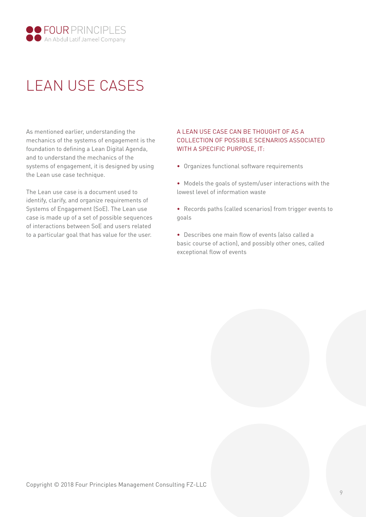

## LEAN USE CASES

As mentioned earlier, understanding the mechanics of the systems of engagement is the foundation to defining a Lean Digital Agenda, and to understand the mechanics of the systems of engagement, it is designed by using the Lean use case technique.

The Lean use case is a document used to identify, clarify, and organize requirements of Systems of Engagement (SoE). The Lean use case is made up of a set of possible sequences of interactions between SoE and users related to a particular goal that has value for the user.

### A LEAN USE CASE CAN BE THOUGHT OF AS A COLLECTION OF POSSIBLE SCENARIOS ASSOCIATED WITH A SPECIFIC PURPOSE, IT:

• Organizes functional software requirements

• Models the goals of system/user interactions with the lowest level of information waste

• Records paths (called scenarios) from trigger events to goals

• Describes one main flow of events (also called a basic course of action), and possibly other ones, called exceptional flow of events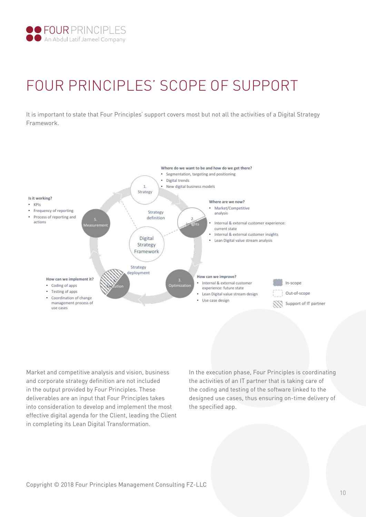

## FOUR PRINCIPLES' SCOPE OF SUPPORT

It is important to state that Four Principles' support covers most but not all the activities of a Digital Strategy Framework.



Market and competitive analysis and vision, business and corporate strategy definition are not included in the output provided by Four Principles. These deliverables are an input that Four Principles takes into consideration to develop and implement the most effective digital agenda for the Client, leading the Client in completing its Lean Digital Transformation.

In the execution phase, Four Principles is coordinating the activities of an IT partner that is taking care of the coding and testing of the software linked to the designed use cases, thus ensuring on-time delivery of the specified app.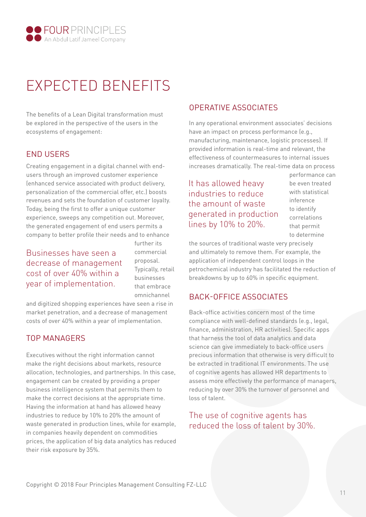

## EXPECTED BENEFITS

The benefits of a Lean Digital transformation must be explored in the perspective of the users in the ecosystems of engagement:

### END USERS

Creating engagement in a digital channel with endusers through an improved customer experience (enhanced service associated with product delivery, personalization of the commercial offer, etc.) boosts revenues and sets the foundation of customer loyalty. Today, being the first to offer a unique customer experience, sweeps any competition out. Moreover, the generated engagement of end users permits a company to better profile their needs and to enhance

Businesses have seen a decrease of management cost of over 40% within a year of implementation.

further its commercial proposal. Typically, retail businesses that embrace omnichannel

and digitized shopping experiences have seen a rise in market penetration, and a decrease of management costs of over 40% within a year of implementation.

### TOP MANAGERS

Executives without the right information cannot make the right decisions about markets, resource allocation, technologies, and partnerships. In this case, engagement can be created by providing a proper business intelligence system that permits them to make the correct decisions at the appropriate time. Having the information at hand has allowed heavy industries to reduce by 10% to 20% the amount of waste generated in production lines, while for example, in companies heavily dependent on commodities prices, the application of big data analytics has reduced their risk exposure by 35%.

### OPERATIVE ASSOCIATES

In any operational environment associates' decisions have an impact on process performance (e.g., manufacturing, maintenance, logistic processes). If provided information is real-time and relevant, the effectiveness of countermeasures to internal issues increases dramatically. The real-time data on process

It has allowed heavy industries to reduce the amount of waste generated in production lines by 10% to 20%.

performance can be even treated with statistical inference to identify correlations that permit to determine

the sources of traditional waste very precisely and ultimately to remove them. For example, the application of independent control loops in the petrochemical industry has facilitated the reduction of breakdowns by up to 60% in specific equipment.

### BACK-OFFICE ASSOCIATES

Back-office activities concern most of the time compliance with well-defined standards (e.g., legal, finance, administration, HR activities). Specific apps that harness the tool of data analytics and data science can give immediately to back-office users precious information that otherwise is very difficult to be extracted in traditional IT environments. The use of cognitive agents has allowed HR departments to assess more effectively the performance of managers, reducing by over 30% the turnover of personnel and loss of talent.

### The use of cognitive agents has reduced the loss of talent by 30%.